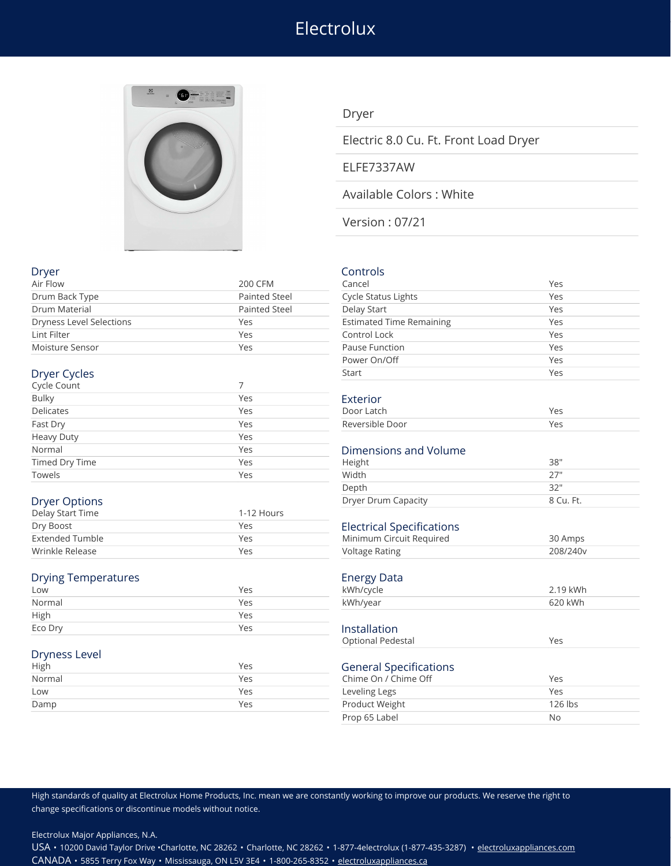# **Electrolux**



### Dryer

Electric 8.0 Cu. Ft. Front Load Dryer

### ELFE7337AW

Available Colors : White

Version : 07/21

### Dryer Controls

| Air Flow                        | <b>200 CFM</b>       | Cancel                           | Yes       |
|---------------------------------|----------------------|----------------------------------|-----------|
| Drum Back Type                  | Painted Steel        | Cycle Status Lights              | Yes       |
| Drum Material                   | <b>Painted Steel</b> | Delay Start                      | Yes       |
| <b>Dryness Level Selections</b> | Yes                  | <b>Estimated Time Remaining</b>  | Yes       |
| Lint Filter                     | Yes                  | Control Lock                     | Yes       |
| Moisture Sensor                 | Yes                  | Pause Function                   | Yes       |
|                                 |                      | Power On/Off                     | Yes       |
| Dryer Cycles                    |                      | Start                            | Yes       |
| Cycle Count                     | 7                    |                                  |           |
| <b>Bulky</b>                    | Yes                  | Exterior                         |           |
| <b>Delicates</b>                | Yes                  | Door Latch                       | Yes       |
| Fast Dry                        | Yes                  | Reversible Door                  | Yes       |
| <b>Heavy Duty</b>               | Yes                  |                                  |           |
| Normal                          | Yes                  | Dimensions and Volume            |           |
| <b>Timed Dry Time</b>           | Yes                  | Height                           | 38"       |
| Towels                          | Yes                  | Width                            | 27"       |
|                                 |                      | Depth                            | 32"       |
| <b>Dryer Options</b>            |                      | Dryer Drum Capacity              | 8 Cu. Ft. |
| Delay Start Time                | 1-12 Hours           |                                  |           |
| Dry Boost                       | Yes                  | <b>Electrical Specifications</b> |           |
| <b>Extended Tumble</b>          | Yes                  | Minimum Circuit Required         | 30 Amps   |
| Wrinkle Release                 | Yes                  | <b>Voltage Rating</b>            | 208/240v  |
| <b>Drying Temperatures</b>      |                      | <b>Energy Data</b>               |           |
| Low                             | Yes                  | kWh/cycle                        | 2.19 kWh  |
| Normal                          | Yes                  | kWh/year                         | 620 kWh   |
| High                            | Yes                  |                                  |           |
| Eco Dry                         | Yes                  | Installation                     |           |

#### Dryness Level

| __<br>High | Yes |
|------------|-----|
| Normal     | Yes |
| Low        | Yes |
| Damp       | Yes |
|            |     |

Depth 32" Optional Pedestal Yes **General Specifications** Chime On / Chime Off Yes Leveling Legs The Contract Contract Contract Contract Contract Contract Contract Contract Contract Contract Co Product Weight 126 lbs Prop 65 Label No

High standards of quality at Electrolux Home Products, Inc. mean we are constantly working to improve our products. We reserve the right to change specifications or discontinue models without notice.

Electrolux Major Appliances, N.A.

USA • 10200 David Taylor Drive •Charlotte, NC 28262 • Charlotte, NC 28262 • 1-877-4electrolux (1-877-435-3287) • [electroluxappliances.com](http://electroluxappliances.com) CANADA • 5855 Terry Fox Way • Mississauga, ON L5V 3E4 • 1-800-265-8352 • [electroluxappliances.ca](http://electroluxappliances.ca)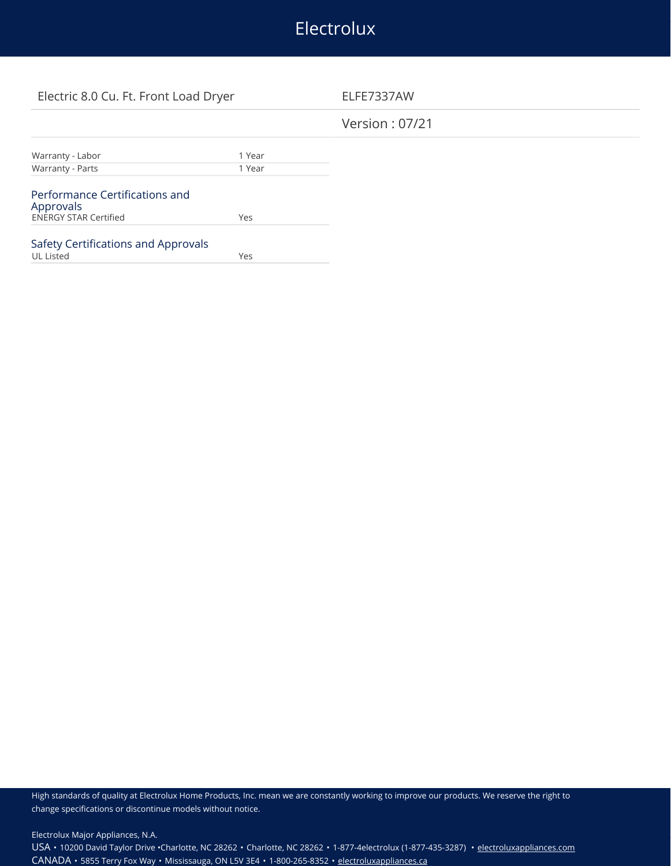# Electrolux

## Electric 8.0 Cu. Ft. Front Load Dryer ELFE7337AW

## Version : 07/21

| Warranty - Labor                            | 1 Year |  |
|---------------------------------------------|--------|--|
| Warranty - Parts                            | 1 Year |  |
|                                             |        |  |
| Performance Certifications and<br>Approvals |        |  |
| <b>ENERGY STAR Certified</b>                | Yes    |  |
|                                             |        |  |
| Safety Certifications and Approvals         |        |  |
| <b>UL Listed</b>                            | Yes    |  |

High standards of quality at Electrolux Home Products, Inc. mean we are constantly working to improve our products. We reserve the right to change specifications or discontinue models without notice.

Electrolux Major Appliances, N.A.

USA • 10200 David Taylor Drive •Charlotte, NC 28262 • Charlotte, NC 28262 • 1-877-4electrolux (1-877-435-3287) • [electroluxappliances.com](http://electroluxappliances.com) CANADA • 5855 Terry Fox Way • Mississauga, ON L5V 3E4 • 1-800-265-8352 • [electroluxappliances.ca](http://electroluxappliances.ca)